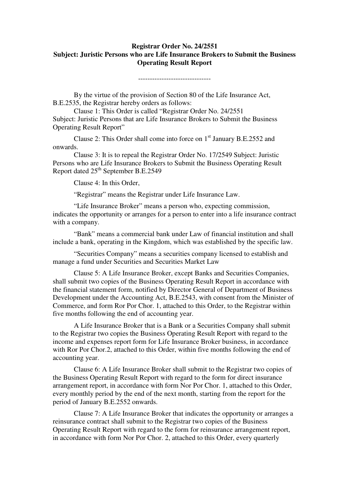## **Registrar Order No. 24/2551 Subject: Juristic Persons who are Life Insurance Brokers to Submit the Business Operating Result Report**

-------------------------------

 By the virtue of the provision of Section 80 of the Life Insurance Act, B.E.2535, the Registrar hereby orders as follows:

 Clause 1: This Order is called "Registrar Order No. 24/2551 Subject: Juristic Persons that are Life Insurance Brokers to Submit the Business Operating Result Report"

Clause 2: This Order shall come into force on  $1<sup>st</sup>$  January B.E.2552 and onwards.

 Clause 3: It is to repeal the Registrar Order No. 17/2549 Subject: Juristic Persons who are Life Insurance Brokers to Submit the Business Operating Result Report dated  $25<sup>th</sup>$  September B.E.2549

Clause 4: In this Order,

"Registrar" means the Registrar under Life Insurance Law.

 "Life Insurance Broker" means a person who, expecting commission, indicates the opportunity or arranges for a person to enter into a life insurance contract with a company.

 "Bank" means a commercial bank under Law of financial institution and shall include a bank, operating in the Kingdom, which was established by the specific law.

"Securities Company" means a securities company licensed to establish and manage a fund under Securities and Securities Market Law

 Clause 5: A Life Insurance Broker, except Banks and Securities Companies, shall submit two copies of the Business Operating Result Report in accordance with the financial statement form, notified by Director General of Department of Business Development under the Accounting Act, B.E.2543, with consent from the Minister of Commerce, and form Ror Por Chor. 1, attached to this Order, to the Registrar within five months following the end of accounting year.

 A Life Insurance Broker that is a Bank or a Securities Company shall submit to the Registrar two copies the Business Operating Result Report with regard to the income and expenses report form for Life Insurance Broker business, in accordance with Ror Por Chor.2, attached to this Order, within five months following the end of accounting year.

 Clause 6: A Life Insurance Broker shall submit to the Registrar two copies of the Business Operating Result Report with regard to the form for direct insurance arrangement report, in accordance with form Nor Por Chor. 1, attached to this Order, every monthly period by the end of the next month, starting from the report for the period of January B.E.2552 onwards.

 Clause 7: A Life Insurance Broker that indicates the opportunity or arranges a reinsurance contract shall submit to the Registrar two copies of the Business Operating Result Report with regard to the form for reinsurance arrangement report, in accordance with form Nor Por Chor. 2, attached to this Order, every quarterly